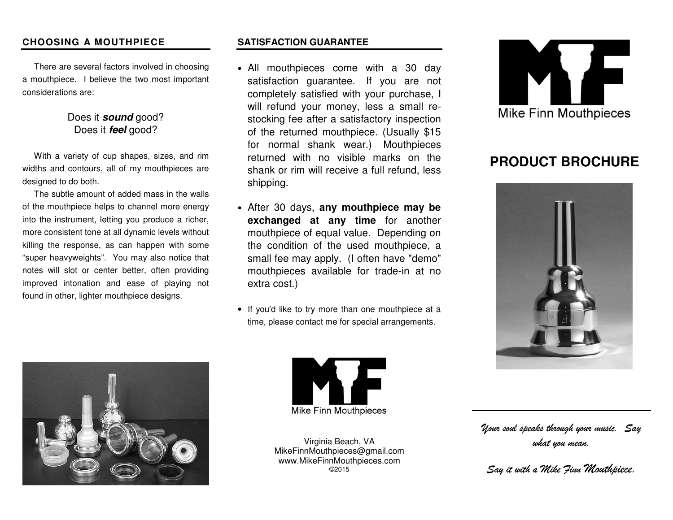#### **CHOOSING A MOUTHPIECE**

 There are several factors involved in choosing a mouthpiece. I believe the two most important considerations are:

## Does it **sound** good? Does it **feel** good?

 With a variety of cup shapes, sizes, and rim widths and contours, all of my mouthpieces are designed to do both.

 The subtle amount of added mass in the walls of the mouthpiece helps to channel more energy into the instrument, letting you produce a richer, more consistent tone at all dynamic levels without killing the response, as can happen with some "super heavyweights". You may also notice that notes will slot or center better, often providing improved intonation and ease of playing not found in other, lighter mouthpiece designs.



#### **SATISFACTION GUARANTEE**

- All mouthpieces come with a 30 day satisfaction guarantee. If you are not completely satisfied with your purchase, I will refund your money, less a small restocking fee after a satisfactory inspection of the returned mouthpiece. (Usually \$15 for normal shank wear.) Mouthpieces returned with no visible marks on the shank or rim will receive a full refund, less shipping.
- After 30 days, **any mouthpiece may be exchanged at any time** for another mouthpiece of equal value. Depending on the condition of the used mouthpiece, a small fee may apply. (I often have "demo" mouthpieces available for trade-in at no extra cost.)
- If you'd like to try more than one mouthpiece at atime, please contact me for special arrangements.



# **PRODUCT BROCHURE**





Virginia Beach, VA MikeFinnMouthpieces@gmail.com www.MikeFinnMouthpieces.com ©2015

*Your soul speaks through your music. Say what you mean.* 

*Say it with a Mike Finn Mouthpiece.*